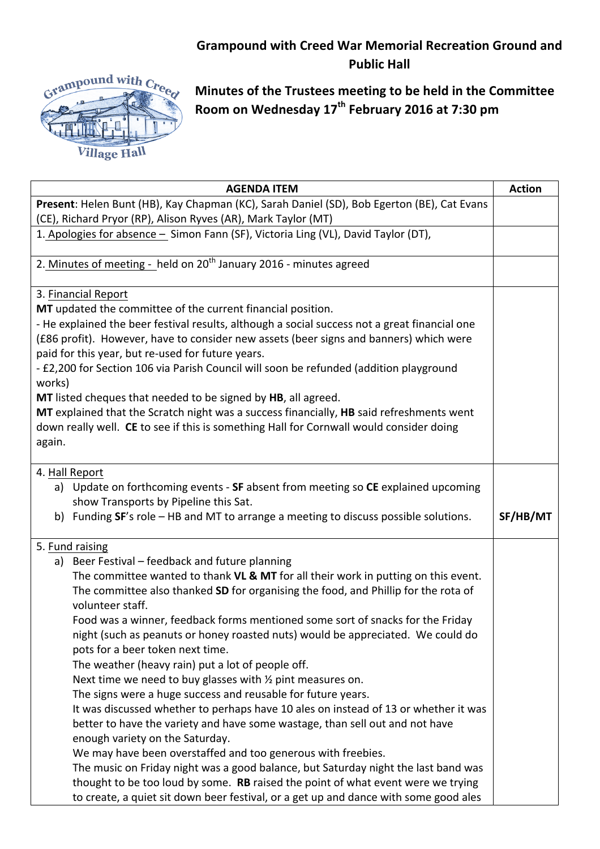## **Grampound with Creed War Memorial Recreation Ground and Public Hall**



**Minutes of the Trustees meeting to be held in the Committee Room on Wednesday 17th February 2016 at 7:30 pm**

| <b>AGENDA ITEM</b>                                                                               | <b>Action</b> |  |
|--------------------------------------------------------------------------------------------------|---------------|--|
| Present: Helen Bunt (HB), Kay Chapman (KC), Sarah Daniel (SD), Bob Egerton (BE), Cat Evans       |               |  |
| (CE), Richard Pryor (RP), Alison Ryves (AR), Mark Taylor (MT)                                    |               |  |
| 1. Apologies for absence - Simon Fann (SF), Victoria Ling (VL), David Taylor (DT),               |               |  |
| 2. Minutes of meeting - held on 20 <sup>th</sup> January 2016 - minutes agreed                   |               |  |
| 3. Financial Report                                                                              |               |  |
| MT updated the committee of the current financial position.                                      |               |  |
| - He explained the beer festival results, although a social success not a great financial one    |               |  |
| (£86 profit). However, have to consider new assets (beer signs and banners) which were           |               |  |
| paid for this year, but re-used for future years.                                                |               |  |
| - £2,200 for Section 106 via Parish Council will soon be refunded (addition playground<br>works) |               |  |
| MT listed cheques that needed to be signed by HB, all agreed.                                    |               |  |
| MT explained that the Scratch night was a success financially, HB said refreshments went         |               |  |
| down really well. CE to see if this is something Hall for Cornwall would consider doing          |               |  |
| again.                                                                                           |               |  |
|                                                                                                  |               |  |
| 4. Hall Report                                                                                   |               |  |
| a) Update on forthcoming events - SF absent from meeting so CE explained upcoming                |               |  |
| show Transports by Pipeline this Sat.                                                            |               |  |
| b) Funding SF's role - HB and MT to arrange a meeting to discuss possible solutions.             | SF/HB/MT      |  |
|                                                                                                  |               |  |
| 5. Fund raising                                                                                  |               |  |
| a) Beer Festival - feedback and future planning                                                  |               |  |
| The committee wanted to thank VL & MT for all their work in putting on this event.               |               |  |
| The committee also thanked SD for organising the food, and Phillip for the rota of               |               |  |
| volunteer staff.                                                                                 |               |  |
| Food was a winner, feedback forms mentioned some sort of snacks for the Friday                   |               |  |
| night (such as peanuts or honey roasted nuts) would be appreciated. We could do                  |               |  |
| pots for a beer token next time.                                                                 |               |  |
| The weather (heavy rain) put a lot of people off.                                                |               |  |
| Next time we need to buy glasses with $\frac{1}{2}$ pint measures on.                            |               |  |
| The signs were a huge success and reusable for future years.                                     |               |  |
| It was discussed whether to perhaps have 10 ales on instead of 13 or whether it was              |               |  |
| better to have the variety and have some wastage, than sell out and not have                     |               |  |
| enough variety on the Saturday.                                                                  |               |  |
| We may have been overstaffed and too generous with freebies.                                     |               |  |
| The music on Friday night was a good balance, but Saturday night the last band was               |               |  |
| thought to be too loud by some. RB raised the point of what event were we trying                 |               |  |
| to create, a quiet sit down beer festival, or a get up and dance with some good ales             |               |  |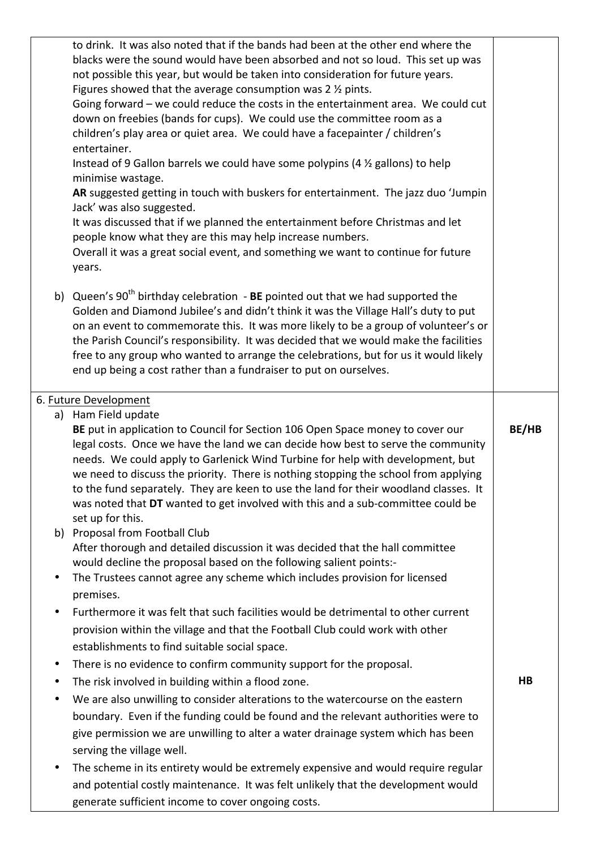|           | to drink. It was also noted that if the bands had been at the other end where the<br>blacks were the sound would have been absorbed and not so loud. This set up was<br>not possible this year, but would be taken into consideration for future years.<br>Figures showed that the average consumption was $2 \frac{1}{2}$ pints.<br>Going forward - we could reduce the costs in the entertainment area. We could cut<br>down on freebies (bands for cups). We could use the committee room as a<br>children's play area or quiet area. We could have a facepainter / children's<br>entertainer.<br>Instead of 9 Gallon barrels we could have some polypins (4 % gallons) to help<br>minimise wastage.<br>AR suggested getting in touch with buskers for entertainment. The jazz duo 'Jumpin<br>Jack' was also suggested.<br>It was discussed that if we planned the entertainment before Christmas and let<br>people know what they are this may help increase numbers.<br>Overall it was a great social event, and something we want to continue for future<br>years. |                |
|-----------|--------------------------------------------------------------------------------------------------------------------------------------------------------------------------------------------------------------------------------------------------------------------------------------------------------------------------------------------------------------------------------------------------------------------------------------------------------------------------------------------------------------------------------------------------------------------------------------------------------------------------------------------------------------------------------------------------------------------------------------------------------------------------------------------------------------------------------------------------------------------------------------------------------------------------------------------------------------------------------------------------------------------------------------------------------------------------|----------------|
|           | b) Queen's $90^{th}$ birthday celebration - BE pointed out that we had supported the<br>Golden and Diamond Jubilee's and didn't think it was the Village Hall's duty to put<br>on an event to commemorate this. It was more likely to be a group of volunteer's or<br>the Parish Council's responsibility. It was decided that we would make the facilities<br>free to any group who wanted to arrange the celebrations, but for us it would likely<br>end up being a cost rather than a fundraiser to put on ourselves.                                                                                                                                                                                                                                                                                                                                                                                                                                                                                                                                                 |                |
|           | 6. Future Development                                                                                                                                                                                                                                                                                                                                                                                                                                                                                                                                                                                                                                                                                                                                                                                                                                                                                                                                                                                                                                                    |                |
|           | a) Ham Field update<br>BE put in application to Council for Section 106 Open Space money to cover our<br>legal costs. Once we have the land we can decide how best to serve the community<br>needs. We could apply to Garlenick Wind Turbine for help with development, but<br>we need to discuss the priority. There is nothing stopping the school from applying<br>to the fund separately. They are keen to use the land for their woodland classes. It<br>was noted that DT wanted to get involved with this and a sub-committee could be<br>set up for this.<br>b) Proposal from Football Club                                                                                                                                                                                                                                                                                                                                                                                                                                                                      | BE/HB          |
|           | After thorough and detailed discussion it was decided that the hall committee<br>would decline the proposal based on the following salient points:-                                                                                                                                                                                                                                                                                                                                                                                                                                                                                                                                                                                                                                                                                                                                                                                                                                                                                                                      |                |
| ٠         | The Trustees cannot agree any scheme which includes provision for licensed                                                                                                                                                                                                                                                                                                                                                                                                                                                                                                                                                                                                                                                                                                                                                                                                                                                                                                                                                                                               |                |
| $\bullet$ | premises.<br>Furthermore it was felt that such facilities would be detrimental to other current<br>provision within the village and that the Football Club could work with other<br>establishments to find suitable social space.                                                                                                                                                                                                                                                                                                                                                                                                                                                                                                                                                                                                                                                                                                                                                                                                                                        |                |
| $\bullet$ | There is no evidence to confirm community support for the proposal.                                                                                                                                                                                                                                                                                                                                                                                                                                                                                                                                                                                                                                                                                                                                                                                                                                                                                                                                                                                                      |                |
| ٠         | The risk involved in building within a flood zone.                                                                                                                                                                                                                                                                                                                                                                                                                                                                                                                                                                                                                                                                                                                                                                                                                                                                                                                                                                                                                       | H <sub>B</sub> |
| ٠         | We are also unwilling to consider alterations to the watercourse on the eastern<br>boundary. Even if the funding could be found and the relevant authorities were to<br>give permission we are unwilling to alter a water drainage system which has been                                                                                                                                                                                                                                                                                                                                                                                                                                                                                                                                                                                                                                                                                                                                                                                                                 |                |
|           | serving the village well.                                                                                                                                                                                                                                                                                                                                                                                                                                                                                                                                                                                                                                                                                                                                                                                                                                                                                                                                                                                                                                                |                |